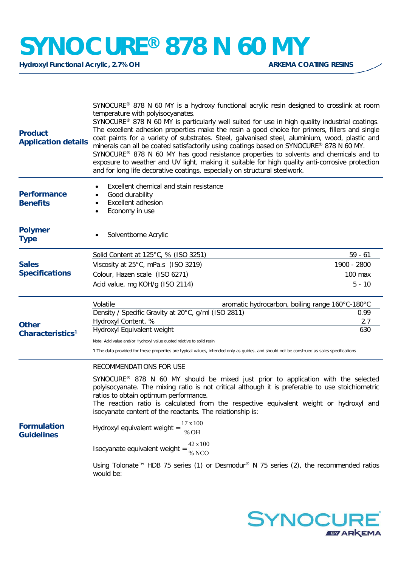## **SYNOCURE®** 878 N 60 MY<br>Hydroxyl Functional Acrylic, 2.7% OH

**Hydroxyl Functional Acrylic, 2.7% OH** 

| <b>Product</b><br><b>Application details</b> | SYNOCURE® 878 N 60 MY is a hydroxy functional acrylic resin designed to crosslink at room<br>temperature with polyisocyanates.<br>SYNOCURE® 878 N 60 MY is particularly well suited for use in high quality industrial coatings.<br>The excellent adhesion properties make the resin a good choice for primers, fillers and single<br>coat paints for a variety of substrates. Steel, galvanised steel, aluminium, wood, plastic and<br>minerals can all be coated satisfactorily using coatings based on SYNOCURE® 878 N 60 MY.<br>SYNOCURE® 878 N 60 MY has good resistance properties to solvents and chemicals and to<br>exposure to weather and UV light, making it suitable for high quality anti-corrosive protection<br>and for long life decorative coatings, especially on structural steelwork. |             |
|----------------------------------------------|------------------------------------------------------------------------------------------------------------------------------------------------------------------------------------------------------------------------------------------------------------------------------------------------------------------------------------------------------------------------------------------------------------------------------------------------------------------------------------------------------------------------------------------------------------------------------------------------------------------------------------------------------------------------------------------------------------------------------------------------------------------------------------------------------------|-------------|
| <b>Performance</b><br><b>Benefits</b>        | Excellent chemical and stain resistance<br>Good durability<br>Excellent adhesion<br>Economy in use                                                                                                                                                                                                                                                                                                                                                                                                                                                                                                                                                                                                                                                                                                         |             |
| <b>Polymer</b><br><b>Type</b>                | Solventborne Acrylic                                                                                                                                                                                                                                                                                                                                                                                                                                                                                                                                                                                                                                                                                                                                                                                       |             |
|                                              | Solid Content at 125°C, % (ISO 3251)                                                                                                                                                                                                                                                                                                                                                                                                                                                                                                                                                                                                                                                                                                                                                                       | $59 - 61$   |
| <b>Sales</b>                                 | Viscosity at 25°C, mPa.s (ISO 3219)                                                                                                                                                                                                                                                                                                                                                                                                                                                                                                                                                                                                                                                                                                                                                                        | 1900 - 2800 |
| <b>Specifications</b>                        | Colour, Hazen scale (ISO 6271)                                                                                                                                                                                                                                                                                                                                                                                                                                                                                                                                                                                                                                                                                                                                                                             | 100 max     |
|                                              | Acid value, mg KOH/g (ISO 2114)                                                                                                                                                                                                                                                                                                                                                                                                                                                                                                                                                                                                                                                                                                                                                                            | $5 - 10$    |
|                                              | Volatile<br>aromatic hydrocarbon, boiling range 160°C-180°C                                                                                                                                                                                                                                                                                                                                                                                                                                                                                                                                                                                                                                                                                                                                                |             |
|                                              | Density / Specific Gravity at 20°C, g/ml (ISO 2811)                                                                                                                                                                                                                                                                                                                                                                                                                                                                                                                                                                                                                                                                                                                                                        | 0.99        |
| <b>Other</b>                                 | Hydroxyl Content, %<br>Hydroxyl Equivalent weight                                                                                                                                                                                                                                                                                                                                                                                                                                                                                                                                                                                                                                                                                                                                                          | 2.7<br>630  |
| Characteristics <sup>1</sup>                 |                                                                                                                                                                                                                                                                                                                                                                                                                                                                                                                                                                                                                                                                                                                                                                                                            |             |
|                                              | Note: Acid value and/or Hydroxyl value quoted relative to solid resin<br>1 The data provided for these properties are typical values, intended only as guides, and should not be construed as sales specifications                                                                                                                                                                                                                                                                                                                                                                                                                                                                                                                                                                                         |             |
|                                              | <b>RECOMMENDATIONS FOR USE</b>                                                                                                                                                                                                                                                                                                                                                                                                                                                                                                                                                                                                                                                                                                                                                                             |             |
| <b>Formulation</b><br><b>Guidelines</b>      | SYNOCURE <sup>®</sup> 878 N 60 MY should be mixed just prior to application with the selected<br>polyisocyanate. The mixing ratio is not critical although it is preferable to use stoichiometric<br>ratios to obtain optimum performance.<br>The reaction ratio is calculated from the respective equivalent weight or hydroxyl and<br>isocyanate content of the reactants. The relationship is:                                                                                                                                                                                                                                                                                                                                                                                                          |             |
|                                              | Hydroxyl equivalent weight = $\frac{17 \times 100}{\% \text{ OH}}$                                                                                                                                                                                                                                                                                                                                                                                                                                                                                                                                                                                                                                                                                                                                         |             |
|                                              | Isocyanate equivalent weight = $\frac{42 \times 100}{\% \text{ NCO}}$                                                                                                                                                                                                                                                                                                                                                                                                                                                                                                                                                                                                                                                                                                                                      |             |
|                                              | Using Tolonate <sup>™</sup> HDB 75 series (1) or Desmodur <sup>®</sup> N 75 series (2), the recommended ratios<br>would be:                                                                                                                                                                                                                                                                                                                                                                                                                                                                                                                                                                                                                                                                                |             |